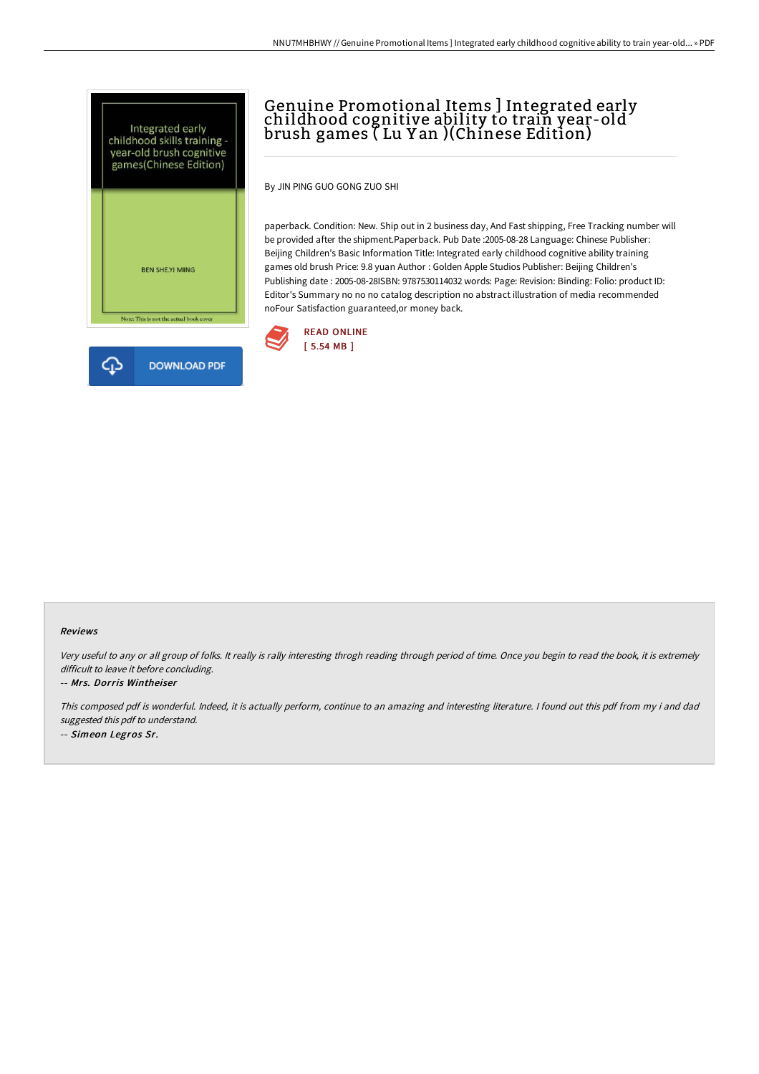



# Genuine Promotional Items ] Integrated early childhood cognitive ability to train year-old brush games ( Lu Y an )(Chinese Edition)

By JIN PING GUO GONG ZUO SHI

paperback. Condition: New. Ship out in 2 business day, And Fast shipping, Free Tracking number will be provided after the shipment.Paperback. Pub Date :2005-08-28 Language: Chinese Publisher: Beijing Children's Basic Information Title: Integrated early childhood cognitive ability training games old brush Price: 9.8 yuan Author : Golden Apple Studios Publisher: Beijing Children's Publishing date : 2005-08-28ISBN: 9787530114032 words: Page: Revision: Binding: Folio: product ID: Editor's Summary no no no catalog description no abstract illustration of media recommended noFour Satisfaction guaranteed,or money back.



#### Reviews

Very useful to any or all group of folks. It really is rally interesting throgh reading through period of time. Once you begin to read the book, it is extremely difficult to leave it before concluding.

#### -- Mrs. Dorris Wintheiser

This composed pdf is wonderful. Indeed, it is actually perform, continue to an amazing and interesting literature. <sup>I</sup> found out this pdf from my i and dad suggested this pdf to understand. -- Simeon Legros Sr.